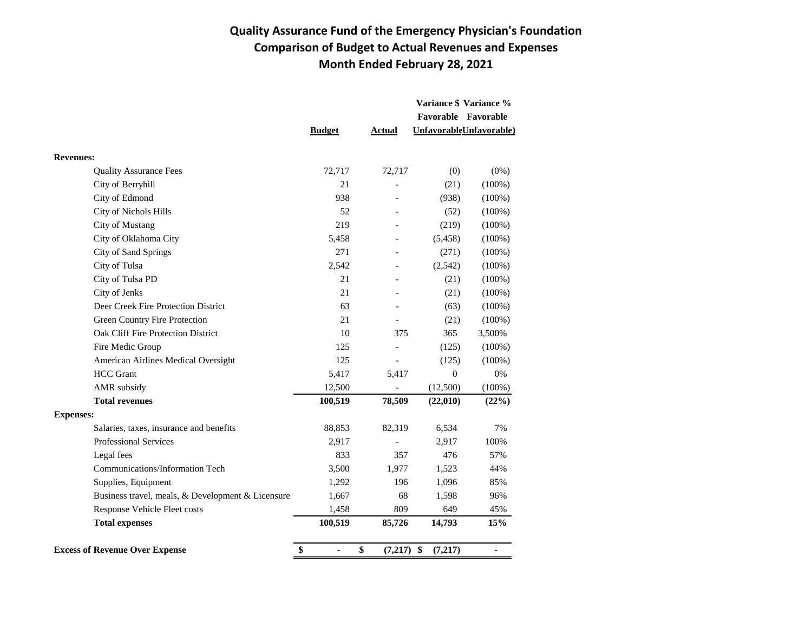## **Quality Assurance Fund of the Emergency Physician's Foundation Comparison of Budget to Actual Revenues and Expenses Month Ended February 28, 2021**

|                                                   |               |                    |                  | Variance \$ Variance %  |
|---------------------------------------------------|---------------|--------------------|------------------|-------------------------|
|                                                   |               |                    |                  | Favorable Favorable     |
|                                                   | <b>Budget</b> | Actual             |                  | UnfavorableUnfavorable) |
| <b>Revenues:</b>                                  |               |                    |                  |                         |
| <b>Quality Assurance Fees</b>                     | 72,717        | 72,717             | (0)              | $(0\%)$                 |
| City of Berryhill                                 | 21            |                    | (21)             | $(100\%)$               |
| City of Edmond                                    | 938           |                    | (938)            | $(100\%)$               |
| City of Nichols Hills                             | 52            |                    | (52)             | $(100\%)$               |
| <b>City of Mustang</b>                            | 219           |                    | (219)            | $(100\%)$               |
| City of Oklahoma City                             | 5,458         |                    | (5, 458)         | $(100\%)$               |
| City of Sand Springs                              | 271           |                    | (271)            | $(100\%)$               |
| City of Tulsa                                     | 2,542         |                    | (2, 542)         | $(100\%)$               |
| City of Tulsa PD                                  | 21            |                    | (21)             | $(100\%)$               |
| City of Jenks                                     | 21            |                    | (21)             | $(100\%)$               |
| Deer Creek Fire Protection District               | 63            |                    | (63)             | $(100\%)$               |
| <b>Green Country Fire Protection</b>              | 21            |                    | (21)             | $(100\%)$               |
| Oak Cliff Fire Protection District                | 10            | 375                | 365              | 3,500%                  |
| Fire Medic Group                                  | 125           |                    | (125)            | $(100\%)$               |
| American Airlines Medical Oversight               | 125           |                    | (125)            | $(100\%)$               |
| <b>HCC</b> Grant                                  | 5,417         | 5,417              | $\boldsymbol{0}$ | $0\%$                   |
| AMR subsidy                                       | 12,500        |                    | (12,500)         | $(100\%)$               |
| <b>Total revenues</b>                             | 100,519       | 78,509             | (22,010)         | (22%)                   |
| <b>Expenses:</b>                                  |               |                    |                  |                         |
| Salaries, taxes, insurance and benefits           | 88,853        | 82,319             | 6,534            | 7%                      |
| <b>Professional Services</b>                      | 2,917         |                    | 2,917            | 100%                    |
| Legal fees                                        | 833           | 357                | 476              | 57%                     |
| Communications/Information Tech                   | 3,500         | 1,977              | 1,523            | 44%                     |
| Supplies, Equipment                               | 1,292         | 196                | 1,096            | 85%                     |
| Business travel, meals, & Development & Licensure | 1,667         | 68                 | 1,598            | 96%                     |
| Response Vehicle Fleet costs                      | 1,458         | 809                | 649              | 45%                     |
| <b>Total expenses</b>                             | 100,519       | 85,726             | 14,793           | 15%                     |
| <b>Excess of Revenue Over Expense</b>             | \$            | \$<br>$(7,217)$ \$ | (7,217)          | $\blacksquare$          |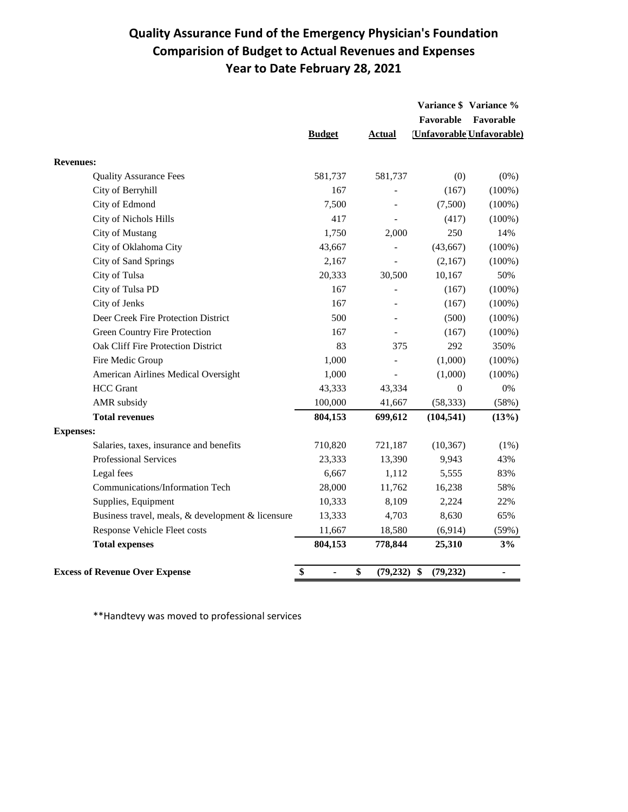## **Quality Assurance Fund of the Emergency Physician's Foundation Comparision of Budget to Actual Revenues and Expenses Year to Date February 28, 2021**

|                                                   |                                |                     |                  | Variance \$ Variance %          |
|---------------------------------------------------|--------------------------------|---------------------|------------------|---------------------------------|
|                                                   |                                |                     | Favorable        | Favorable                       |
|                                                   | <b>Budget</b>                  | Actual              |                  | <b>Unfavorable Unfavorable)</b> |
| <b>Revenues:</b>                                  |                                |                     |                  |                                 |
| <b>Quality Assurance Fees</b>                     | 581,737                        | 581,737             | (0)              | $(0\%)$                         |
| City of Berryhill                                 | 167                            |                     | (167)            | $(100\%)$                       |
| City of Edmond                                    | 7,500                          |                     | (7,500)          | $(100\%)$                       |
| <b>City of Nichols Hills</b>                      | 417                            |                     | (417)            | $(100\%)$                       |
| <b>City of Mustang</b>                            | 1,750                          | 2,000               | 250              | 14%                             |
| City of Oklahoma City                             | 43,667                         |                     | (43, 667)        | $(100\%)$                       |
| City of Sand Springs                              | 2,167                          |                     | (2,167)          | $(100\%)$                       |
| City of Tulsa                                     | 20,333                         | 30,500              | 10,167           | 50%                             |
| City of Tulsa PD                                  | 167                            |                     | (167)            | $(100\%)$                       |
| City of Jenks                                     | 167                            |                     | (167)            | $(100\%)$                       |
| Deer Creek Fire Protection District               | 500                            |                     | (500)            | $(100\%)$                       |
| Green Country Fire Protection                     | 167                            | $\overline{a}$      | (167)            | $(100\%)$                       |
| Oak Cliff Fire Protection District                | 83                             | 375                 | 292              | 350%                            |
| Fire Medic Group                                  | 1,000                          | $\overline{a}$      | (1,000)          | $(100\%)$                       |
| American Airlines Medical Oversight               | 1,000                          | $\overline{a}$      | (1,000)          | $(100\%)$                       |
| <b>HCC</b> Grant                                  | 43,333                         | 43,334              | $\boldsymbol{0}$ | $0\%$                           |
| AMR subsidy                                       | 100,000                        | 41,667              | (58, 333)        | (58%)                           |
| <b>Total revenues</b>                             | 804,153                        | 699,612             | (104, 541)       | (13%)                           |
| <b>Expenses:</b>                                  |                                |                     |                  |                                 |
| Salaries, taxes, insurance and benefits           | 710,820                        | 721,187             | (10, 367)        | $(1\%)$                         |
| <b>Professional Services</b>                      | 23,333                         | 13,390              | 9,943            | 43%                             |
| Legal fees                                        | 6,667                          | 1,112               | 5,555            | 83%                             |
| Communications/Information Tech                   | 28,000                         | 11,762              | 16,238           | 58%                             |
| Supplies, Equipment                               | 10,333                         | 8,109               | 2,224            | 22%                             |
| Business travel, meals, & development & licensure | 13,333                         | 4,703               | 8,630            | 65%                             |
| Response Vehicle Fleet costs                      | 11,667                         | 18,580              | (6,914)          | (59%)                           |
| <b>Total expenses</b>                             | 804,153                        | 778,844             | 25,310           | 3%                              |
| <b>Excess of Revenue Over Expense</b>             | \$<br>$\overline{\phantom{a}}$ | \$<br>$(79,232)$ \$ | (79, 232)        | $\frac{1}{2}$                   |

\*\*Handtevy was moved to professional services